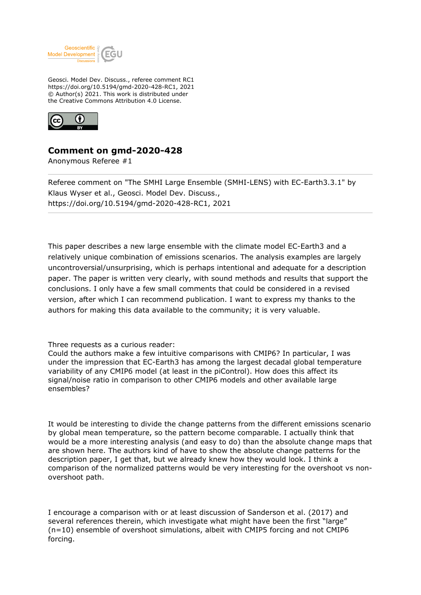

Geosci. Model Dev. Discuss., referee comment RC1 https://doi.org/10.5194/gmd-2020-428-RC1, 2021 © Author(s) 2021. This work is distributed under the Creative Commons Attribution 4.0 License.



## **Comment on gmd-2020-428**

Anonymous Referee #1

Referee comment on "The SMHI Large Ensemble (SMHI-LENS) with EC-Earth3.3.1" by Klaus Wyser et al., Geosci. Model Dev. Discuss., https://doi.org/10.5194/gmd-2020-428-RC1, 2021

This paper describes a new large ensemble with the climate model EC-Earth3 and a relatively unique combination of emissions scenarios. The analysis examples are largely uncontroversial/unsurprising, which is perhaps intentional and adequate for a description paper. The paper is written very clearly, with sound methods and results that support the conclusions. I only have a few small comments that could be considered in a revised version, after which I can recommend publication. I want to express my thanks to the authors for making this data available to the community; it is very valuable.

## Three requests as a curious reader:

Could the authors make a few intuitive comparisons with CMIP6? In particular, I was under the impression that EC-Earth3 has among the largest decadal global temperature variability of any CMIP6 model (at least in the piControl). How does this affect its signal/noise ratio in comparison to other CMIP6 models and other available large ensembles?

It would be interesting to divide the change patterns from the different emissions scenario by global mean temperature, so the pattern become comparable. I actually think that would be a more interesting analysis (and easy to do) than the absolute change maps that are shown here. The authors kind of have to show the absolute change patterns for the description paper, I get that, but we already knew how they would look. I think a comparison of the normalized patterns would be very interesting for the overshoot vs nonovershoot path.

I encourage a comparison with or at least discussion of Sanderson et al. (2017) and several references therein, which investigate what might have been the first "large" (n=10) ensemble of overshoot simulations, albeit with CMIP5 forcing and not CMIP6 forcing.